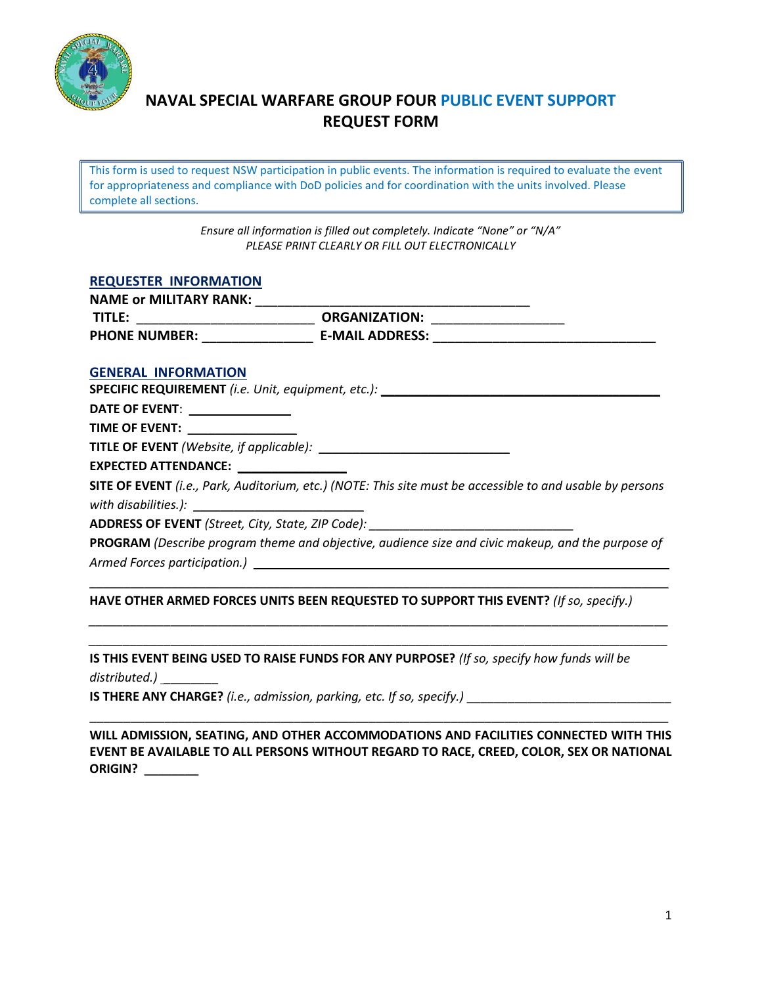

# **NAVAL SPECIAL WARFARE GROUP FOUR PUBLIC EVENT SUPPORT REQUEST FORM**

This form is used to request NSW participation in public events. The information is required to evaluate the event for appropriateness and compliance with DoD policies and for coordination with the units involved. Please complete all sections.

> *Ensure all information is filled out completely. Indicate "None" or "N/A" PLEASE PRINT CLEARLY OR FILL OUT ELECTRONICALLY*

#### **REQUESTER INFORMATION**

| <b>NAME or MILITARY RANK:</b> |                        |  |
|-------------------------------|------------------------|--|
| TITLE:                        | <b>ORGANIZATION:</b>   |  |
| <b>PHONE NUMBER:</b>          | <b>E-MAIL ADDRESS:</b> |  |
|                               |                        |  |

#### **GENERAL INFORMATION**

**SPECIFIC REQUIREMENT** *(i.e. Unit, equipment, etc.):* \_\_\_\_\_\_\_\_\_\_\_\_\_\_\_\_\_\_\_\_\_\_\_\_\_\_\_\_\_\_\_\_\_\_\_\_\_\_\_\_\_

**DATE OF EVENT:** 

**TIME OF EVENT:** \_\_\_\_\_\_\_\_\_\_\_\_\_\_\_\_

**TITLE OF EVENT** *(Website, if applicable):* \_\_\_\_\_\_\_\_\_\_\_\_\_\_\_\_\_\_\_\_\_\_\_\_\_\_\_\_

**EXPECTED ATTENDANCE:** \_\_\_\_\_\_\_\_\_\_\_\_\_\_\_\_

**SITE OF EVENT** *(i.e., Park, Auditorium, etc.) (NOTE: This site must be accessible to and usable by persons*  with disabilities.):

**ADDRESS OF EVENT** *(Street, City, State, ZIP Code): \_\_\_\_\_\_\_\_\_\_\_\_\_\_\_\_\_\_\_\_\_\_\_\_\_\_\_\_\_\_*

**PROGRAM** *(Describe program theme and objective, audience size and civic makeup, and the purpose of Armed Forces participation.*)

\_\_\_\_\_\_\_\_\_\_\_\_\_\_\_\_\_\_\_\_\_\_\_\_\_\_\_\_\_\_\_\_\_\_\_\_\_\_\_\_\_\_\_\_\_\_\_\_\_\_\_\_\_\_\_\_\_\_\_\_\_\_\_\_\_\_\_\_\_\_\_\_\_\_\_\_\_\_\_\_\_\_\_\_\_

*\_\_\_\_\_\_\_\_\_\_\_\_\_\_\_\_\_\_\_\_\_\_\_\_\_\_\_\_\_\_\_\_\_\_\_\_\_\_\_\_\_\_\_\_\_\_\_\_\_\_\_\_\_\_\_\_\_\_\_\_\_\_\_\_\_\_\_\_\_\_\_\_\_\_\_\_\_\_\_\_\_\_\_\_\_ \_\_\_\_\_\_\_\_\_\_\_\_\_\_\_\_\_\_\_\_\_\_\_\_\_\_\_\_\_\_\_\_\_\_\_\_\_\_\_\_\_\_\_\_\_\_\_\_\_\_\_\_\_\_\_\_\_\_\_\_\_\_\_\_\_\_\_\_\_\_\_\_\_\_\_\_\_\_\_\_\_\_\_\_\_*

#### **HAVE OTHER ARMED FORCES UNITS BEEN REQUESTED TO SUPPORT THIS EVENT?** *(If so, specify.)*

**IS THIS EVENT BEING USED TO RAISE FUNDS FOR ANY PURPOSE?** *(If so, specify how funds will be*  distributed.) \_

**IS THERE ANY CHARGE?** *(i.e., admission, parking, etc. If so, specify.)* \_\_\_\_\_\_\_\_\_\_\_\_\_\_\_\_\_\_\_\_\_\_\_\_\_\_\_\_\_\_

**WILL ADMISSION, SEATING, AND OTHER ACCOMMODATIONS AND FACILITIES CONNECTED WITH THIS EVENT BE AVAILABLE TO ALL PERSONS WITHOUT REGARD TO RACE, CREED, COLOR, SEX OR NATIONAL ORIGIN?** \_\_\_\_\_\_\_\_

\_\_\_\_\_\_\_\_\_\_\_\_\_\_\_\_\_\_\_\_\_\_\_\_\_\_\_\_\_\_\_\_\_\_\_\_\_\_\_\_\_\_\_\_\_\_\_\_\_\_\_\_\_\_\_\_\_\_\_\_\_\_\_\_\_\_\_\_\_\_\_\_\_\_\_\_\_\_\_\_\_\_\_\_\_